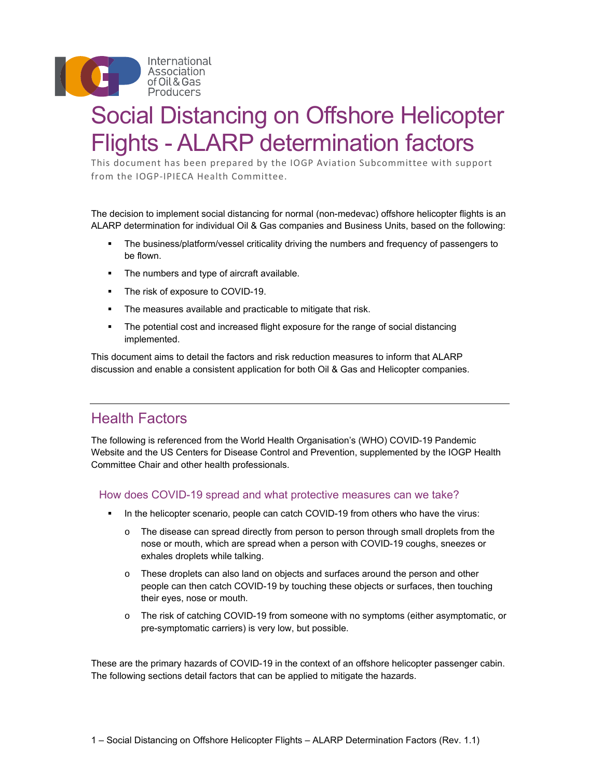

# Social Distancing on Offshore Helicopter Flights - ALARP determination factors

This document has been prepared by the IOGP Aviation Subcommittee with support from the IOGP‐IPIECA Health Committee.

The decision to implement social distancing for normal (non-medevac) offshore helicopter flights is an ALARP determination for individual Oil & Gas companies and Business Units, based on the following:

- The business/platform/vessel criticality driving the numbers and frequency of passengers to be flown.
- **The numbers and type of aircraft available.**
- The risk of exposure to COVID-19.
- The measures available and practicable to mitigate that risk.
- The potential cost and increased flight exposure for the range of social distancing implemented.

This document aims to detail the factors and risk reduction measures to inform that ALARP discussion and enable a consistent application for both Oil & Gas and Helicopter companies.

### Health Factors

The following is referenced from the World Health Organisation's (WHO) COVID-19 Pandemic Website and the US Centers for Disease Control and Prevention, supplemented by the IOGP Health Committee Chair and other health professionals.

#### How does COVID-19 spread and what protective measures can we take?

- In the helicopter scenario, people can catch COVID-19 from others who have the virus:
	- $\circ$  The disease can spread directly from person to person through small droplets from the nose or mouth, which are spread when a person with COVID-19 coughs, sneezes or exhales droplets while talking.
	- o These droplets can also land on objects and surfaces around the person and other people can then catch COVID-19 by touching these objects or surfaces, then touching their eyes, nose or mouth.
	- o The risk of catching COVID-19 from someone with no symptoms (either asymptomatic, or pre-symptomatic carriers) is very low, but possible.

These are the primary hazards of COVID-19 in the context of an offshore helicopter passenger cabin. The following sections detail factors that can be applied to mitigate the hazards.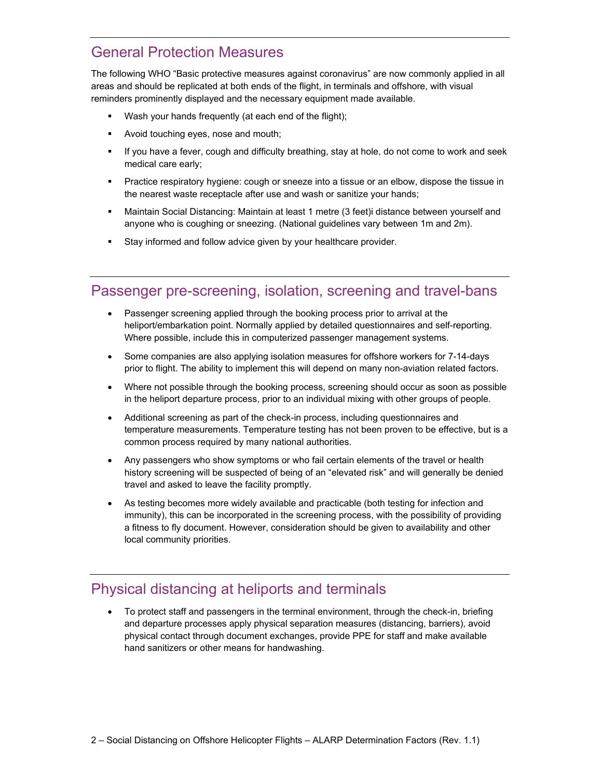## General Protection Measures

The following WHO "Basic protective measures against coronavirus" are now commonly applied in all areas and should be replicated at both ends of the flight, in terminals and offshore, with visual reminders prominently displayed and the necessary equipment made available.

- Wash your hands frequently (at each end of the flight);
- Avoid touching eyes, nose and mouth;
- If you have a fever, cough and difficulty breathing, stay at hole, do not come to work and seek medical care early;
- Practice respiratory hygiene: cough or sneeze into a tissue or an elbow, dispose the tissue in the nearest waste receptacle after use and wash or sanitize your hands;
- Maintain Social Distancing: Maintain at least 1 metre (3 feet)i distance between yourself and anyone who is coughing or sneezing. (National guidelines vary between 1m and 2m).
- **Stay informed and follow advice given by your healthcare provider.**

#### Passenger pre-screening, isolation, screening and travel-bans

- Passenger screening applied through the booking process prior to arrival at the heliport/embarkation point. Normally applied by detailed questionnaires and self-reporting. Where possible, include this in computerized passenger management systems.
- Some companies are also applying isolation measures for offshore workers for 7-14-days prior to flight. The ability to implement this will depend on many non-aviation related factors.
- Where not possible through the booking process, screening should occur as soon as possible in the heliport departure process, prior to an individual mixing with other groups of people.
- Additional screening as part of the check-in process, including questionnaires and temperature measurements. Temperature testing has not been proven to be effective, but is a common process required by many national authorities.
- Any passengers who show symptoms or who fail certain elements of the travel or health history screening will be suspected of being of an "elevated risk" and will generally be denied travel and asked to leave the facility promptly.
- As testing becomes more widely available and practicable (both testing for infection and immunity), this can be incorporated in the screening process, with the possibility of providing a fitness to fly document. However, consideration should be given to availability and other local community priorities.

### Physical distancing at heliports and terminals

 To protect staff and passengers in the terminal environment, through the check-in, briefing and departure processes apply physical separation measures (distancing, barriers), avoid physical contact through document exchanges, provide PPE for staff and make available hand sanitizers or other means for handwashing.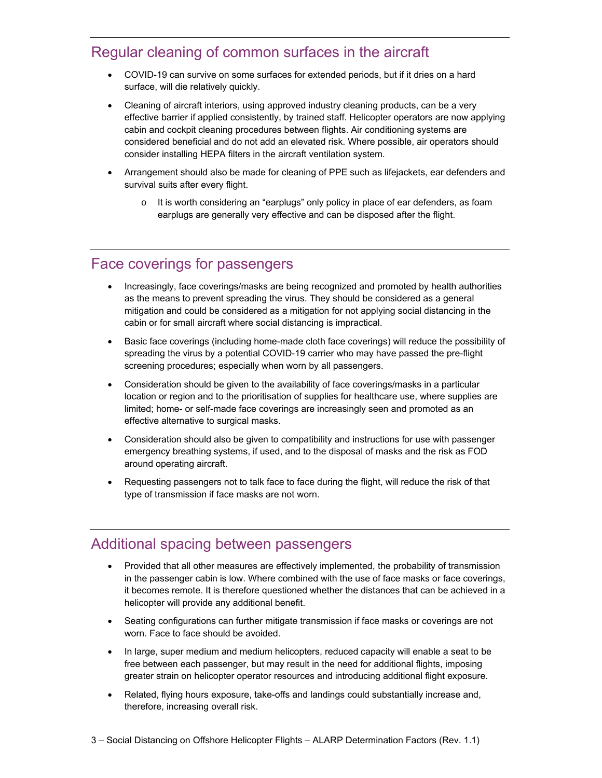#### Regular cleaning of common surfaces in the aircraft

- COVID-19 can survive on some surfaces for extended periods, but if it dries on a hard surface, will die relatively quickly.
- Cleaning of aircraft interiors, using approved industry cleaning products, can be a very effective barrier if applied consistently, by trained staff. Helicopter operators are now applying cabin and cockpit cleaning procedures between flights. Air conditioning systems are considered beneficial and do not add an elevated risk. Where possible, air operators should consider installing HEPA filters in the aircraft ventilation system.
- Arrangement should also be made for cleaning of PPE such as lifejackets, ear defenders and survival suits after every flight.
	- $\circ$  It is worth considering an "earplugs" only policy in place of ear defenders, as foam earplugs are generally very effective and can be disposed after the flight.

## Face coverings for passengers

- Increasingly, face coverings/masks are being recognized and promoted by health authorities as the means to prevent spreading the virus. They should be considered as a general mitigation and could be considered as a mitigation for not applying social distancing in the cabin or for small aircraft where social distancing is impractical.
- Basic face coverings (including home-made cloth face coverings) will reduce the possibility of spreading the virus by a potential COVID-19 carrier who may have passed the pre-flight screening procedures; especially when worn by all passengers.
- Consideration should be given to the availability of face coverings/masks in a particular location or region and to the prioritisation of supplies for healthcare use, where supplies are limited; home- or self-made face coverings are increasingly seen and promoted as an effective alternative to surgical masks.
- Consideration should also be given to compatibility and instructions for use with passenger emergency breathing systems, if used, and to the disposal of masks and the risk as FOD around operating aircraft.
- Requesting passengers not to talk face to face during the flight, will reduce the risk of that type of transmission if face masks are not worn.

#### Additional spacing between passengers

- Provided that all other measures are effectively implemented, the probability of transmission in the passenger cabin is low. Where combined with the use of face masks or face coverings, it becomes remote. It is therefore questioned whether the distances that can be achieved in a helicopter will provide any additional benefit.
- Seating configurations can further mitigate transmission if face masks or coverings are not worn. Face to face should be avoided.
- In large, super medium and medium helicopters, reduced capacity will enable a seat to be free between each passenger, but may result in the need for additional flights, imposing greater strain on helicopter operator resources and introducing additional flight exposure.
- Related, flying hours exposure, take-offs and landings could substantially increase and, therefore, increasing overall risk.